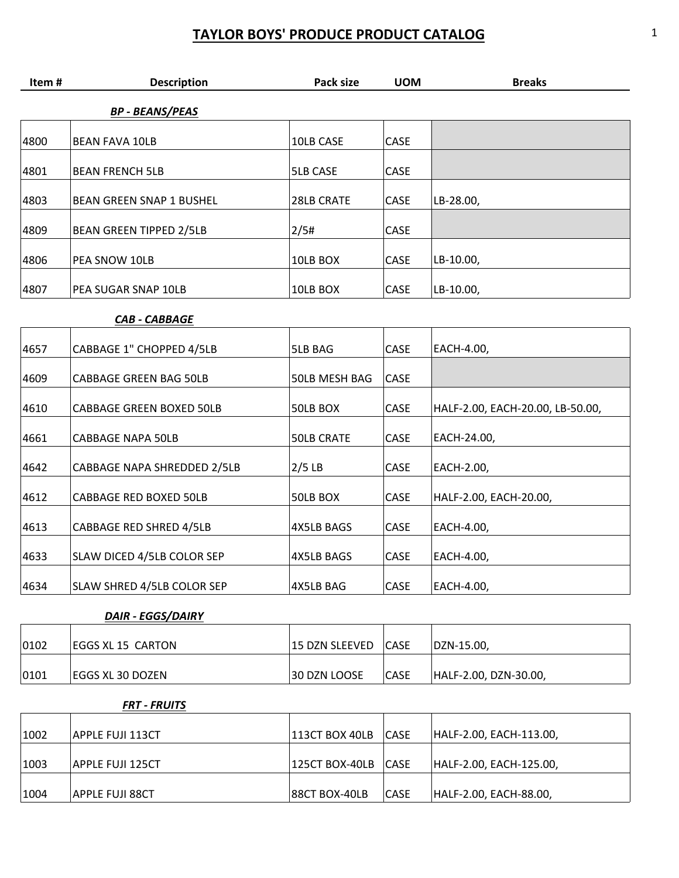| Item# | <b>Description</b>             | Pack size         | <b>UOM</b> | <b>Breaks</b>                    |
|-------|--------------------------------|-------------------|------------|----------------------------------|
|       | <b>BP - BEANS/PEAS</b>         |                   |            |                                  |
| 4800  | <b>BEAN FAVA 10LB</b>          | 10LB CASE         | CASE       |                                  |
| 4801  | <b>BEAN FRENCH 5LB</b>         | <b>5LB CASE</b>   | CASE       |                                  |
| 4803  | BEAN GREEN SNAP 1 BUSHEL       | 28LB CRATE        | CASE       | LB-28.00,                        |
| 4809  | <b>BEAN GREEN TIPPED 2/5LB</b> | 2/5#              | CASE       |                                  |
| 4806  | PEA SNOW 10LB                  | 10LB BOX          | CASE       | LB-10.00,                        |
| 4807  | PEA SUGAR SNAP 10LB            | 10LB BOX          | CASE       | LB-10.00,                        |
|       | <b>CAB - CABBAGE</b>           |                   |            |                                  |
| 4657  | CABBAGE 1" CHOPPED 4/5LB       | 5LB BAG           | CASE       | EACH-4.00,                       |
| 4609  | CABBAGE GREEN BAG 50LB         | 50LB MESH BAG     | CASE       |                                  |
| 4610  | CABBAGE GREEN BOXED 50LB       | 50LB BOX          | CASE       | HALF-2.00, EACH-20.00, LB-50.00, |
| 4661  | <b>CABBAGE NAPA 50LB</b>       | <b>50LB CRATE</b> | CASE       | EACH-24.00,                      |
| 4642  | CABBAGE NAPA SHREDDED 2/5LB    | $2/5$ LB          | CASE       | EACH-2.00,                       |
| 4612  | CABBAGE RED BOXED 50LB         | 50LB BOX          | CASE       | HALF-2.00, EACH-20.00,           |
| 4613  | CABBAGE RED SHRED 4/5LB        | <b>4X5LB BAGS</b> | CASE       | EACH-4.00,                       |
| 4633  | SLAW DICED 4/5LB COLOR SEP     | 4X5LB BAGS        | CASE       | EACH-4.00,                       |
| 4634  | SLAW SHRED 4/5LB COLOR SEP     | 4X5LB BAG         | CASE       | EACH-4.00,                       |
|       | <b>DAIR - EGGS/DAIRY</b>       |                   |            |                                  |
| 0102  | EGGS XL 15 CARTON              | 15 DZN SLEEVED    | CASE       | DZN-15.00,                       |

| 1002 | APPLE FUJI 113CT  | 113CT BOX 40LB | <b>CASE</b> | HALF-2.00, EACH-113.00, |
|------|-------------------|----------------|-------------|-------------------------|
|      |                   |                |             |                         |
| 1003 | IAPPLE FUJI 125CT | 125CT BOX-40LB | <b>CASE</b> | HALF-2.00, EACH-125.00, |
|      |                   |                |             |                         |
| 1004 | APPLE FUJI 88CT   | 88CT BOX-40LB  | <b>CASE</b> | HALF-2.00, EACH-88.00,  |

 $\vert$ 0101 EGGS XL 30 DOZEN 30 DZN LOOSE  $\vert$ CASE HALF-2.00, DZN-30.00,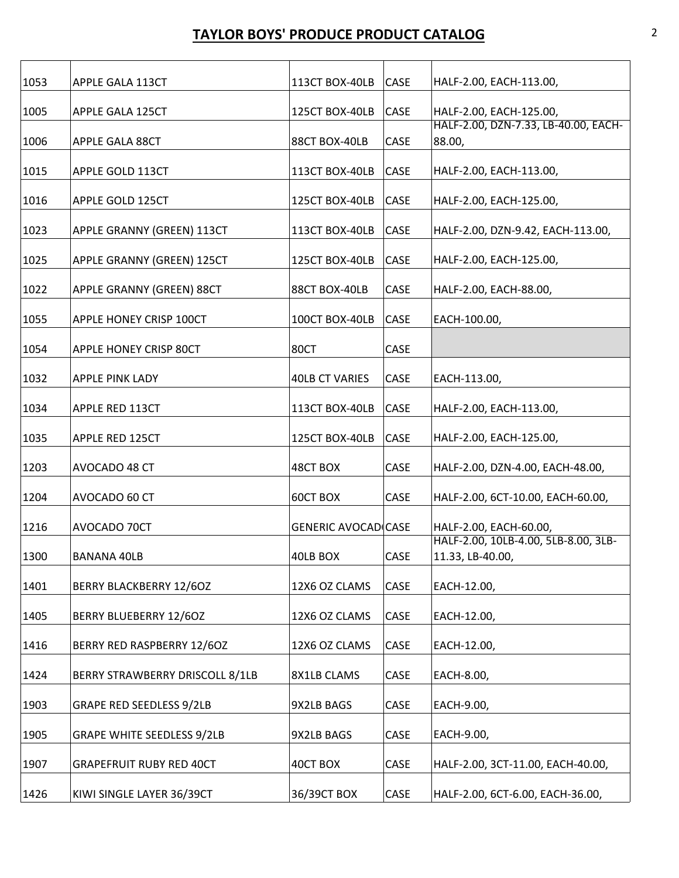| 1053 | APPLE GALA 113CT                  | 113CT BOX-40LB             | CASE | HALF-2.00, EACH-113.00,                                  |
|------|-----------------------------------|----------------------------|------|----------------------------------------------------------|
| 1005 | APPLE GALA 125CT                  | 125CT BOX-40LB             | CASE | HALF-2.00, EACH-125.00,                                  |
| 1006 | APPLE GALA 88CT                   | 88CT BOX-40LB              | CASE | HALF-2.00, DZN-7.33, LB-40.00, EACH-<br>88.00,           |
| 1015 | APPLE GOLD 113CT                  | 113CT BOX-40LB             | CASE | HALF-2.00, EACH-113.00,                                  |
| 1016 | APPLE GOLD 125CT                  | 125CT BOX-40LB             | CASE | HALF-2.00, EACH-125.00,                                  |
| 1023 | APPLE GRANNY (GREEN) 113CT        | 113CT BOX-40LB             | CASE | HALF-2.00, DZN-9.42, EACH-113.00,                        |
| 1025 | APPLE GRANNY (GREEN) 125CT        | 125CT BOX-40LB             | CASE | HALF-2.00, EACH-125.00,                                  |
| 1022 | APPLE GRANNY (GREEN) 88CT         | 88CT BOX-40LB              | CASE | HALF-2.00, EACH-88.00,                                   |
| 1055 | APPLE HONEY CRISP 100CT           | 100CT BOX-40LB             | CASE | EACH-100.00,                                             |
| 1054 | APPLE HONEY CRISP 80CT            | 80CT                       | CASE |                                                          |
| 1032 | <b>APPLE PINK LADY</b>            | <b>40LB CT VARIES</b>      | CASE | EACH-113.00,                                             |
| 1034 | APPLE RED 113CT                   | 113CT BOX-40LB             | CASE | HALF-2.00, EACH-113.00,                                  |
| 1035 | APPLE RED 125CT                   | 125CT BOX-40LB             | CASE | HALF-2.00, EACH-125.00,                                  |
| 1203 | AVOCADO 48 CT                     | 48CT BOX                   | CASE | HALF-2.00, DZN-4.00, EACH-48.00,                         |
| 1204 | AVOCADO 60 CT                     | 60CT BOX                   | CASE | HALF-2.00, 6CT-10.00, EACH-60.00,                        |
| 1216 | AVOCADO 70CT                      | <b>GENERIC AVOCADICASE</b> |      | HALF-2.00, EACH-60.00,                                   |
| 1300 | BANANA 40LB                       | 40LB BOX                   | CASE | HALF-2.00, 10LB-4.00, 5LB-8.00, 3LB-<br>11.33, LB-40.00, |
| 1401 | BERRY BLACKBERRY 12/6OZ           | 12X6 OZ CLAMS              | CASE | EACH-12.00,                                              |
| 1405 | BERRY BLUEBERRY 12/6OZ            | 12X6 OZ CLAMS              | CASE | EACH-12.00,                                              |
| 1416 | BERRY RED RASPBERRY 12/6OZ        | 12X6 OZ CLAMS              | CASE | EACH-12.00,                                              |
| 1424 | BERRY STRAWBERRY DRISCOLL 8/1LB   | 8X1LB CLAMS                | CASE | EACH-8.00,                                               |
| 1903 | <b>GRAPE RED SEEDLESS 9/2LB</b>   | 9X2LB BAGS                 | CASE | EACH-9.00,                                               |
| 1905 | <b>GRAPE WHITE SEEDLESS 9/2LB</b> | 9X2LB BAGS                 | CASE | EACH-9.00,                                               |
| 1907 | <b>GRAPEFRUIT RUBY RED 40CT</b>   | 40CT BOX                   | CASE | HALF-2.00, 3CT-11.00, EACH-40.00,                        |
| 1426 | KIWI SINGLE LAYER 36/39CT         | 36/39CT BOX                | CASE | HALF-2.00, 6CT-6.00, EACH-36.00,                         |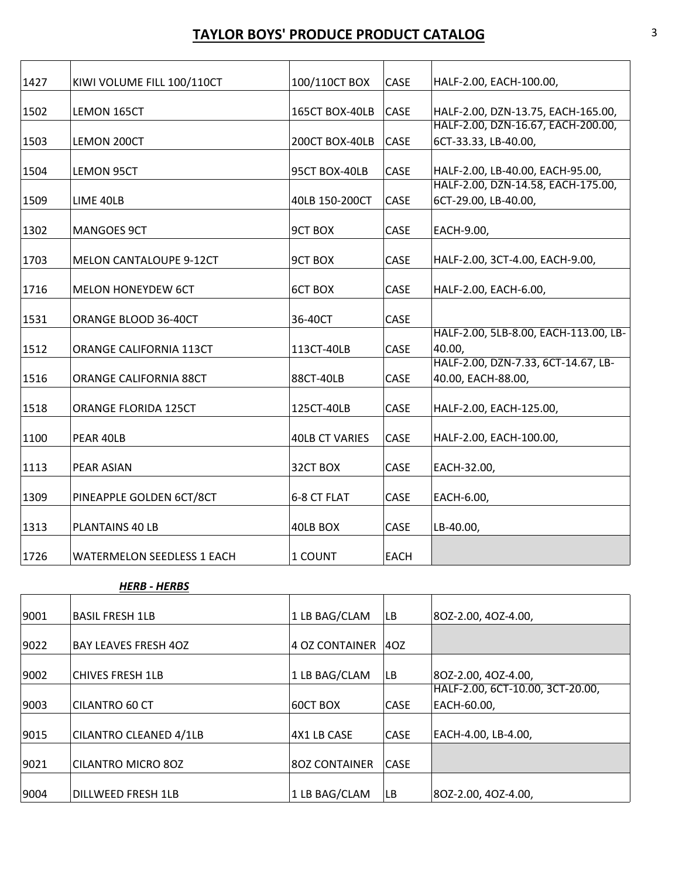| 1427 | KIWI VOLUME FILL 100/110CT        | 100/110CT BOX         | CASE        | HALF-2.00, EACH-100.00,               |
|------|-----------------------------------|-----------------------|-------------|---------------------------------------|
|      |                                   |                       |             |                                       |
| 1502 | LEMON 165CT                       | 165CT BOX-40LB        | CASE        | HALF-2.00, DZN-13.75, EACH-165.00,    |
|      |                                   |                       |             | HALF-2.00, DZN-16.67, EACH-200.00,    |
| 1503 | LEMON 200CT                       | 200CT BOX-40LB        | CASE        | 6CT-33.33, LB-40.00,                  |
|      |                                   |                       |             |                                       |
| 1504 | <b>LEMON 95CT</b>                 | 95CT BOX-40LB         | CASE        | HALF-2.00, LB-40.00, EACH-95.00,      |
|      |                                   |                       |             | HALF-2.00, DZN-14.58, EACH-175.00,    |
| 1509 | LIME 40LB                         | 40LB 150-200CT        | CASE        | 6CT-29.00, LB-40.00,                  |
|      |                                   |                       |             |                                       |
| 1302 | <b>MANGOES 9CT</b>                | <b>9CT BOX</b>        | CASE        | EACH-9.00,                            |
|      |                                   |                       |             |                                       |
| 1703 | MELON CANTALOUPE 9-12CT           | <b>9CT BOX</b>        | CASE        | HALF-2.00, 3CT-4.00, EACH-9.00,       |
|      |                                   |                       |             |                                       |
| 1716 | <b>MELON HONEYDEW 6CT</b>         | <b>6CT BOX</b>        | CASE        | HALF-2.00, EACH-6.00,                 |
|      |                                   |                       |             |                                       |
| 1531 | ORANGE BLOOD 36-40CT              | 36-40CT               | CASE        |                                       |
|      |                                   |                       |             | HALF-2.00, 5LB-8.00, EACH-113.00, LB- |
| 1512 | <b>ORANGE CALIFORNIA 113CT</b>    | 113CT-40LB            | CASE        | 40.00,                                |
|      |                                   |                       |             | HALF-2.00, DZN-7.33, 6CT-14.67, LB-   |
| 1516 | <b>ORANGE CALIFORNIA 88CT</b>     | 88CT-40LB             | CASE        | 40.00, EACH-88.00,                    |
|      |                                   |                       |             |                                       |
| 1518 | ORANGE FLORIDA 125CT              | 125CT-40LB            | CASE        | HALF-2.00, EACH-125.00,               |
| 1100 | PEAR 40LB                         | <b>40LB CT VARIES</b> | CASE        |                                       |
|      |                                   |                       |             | HALF-2.00, EACH-100.00,               |
| 1113 | <b>PEAR ASIAN</b>                 | 32CT BOX              | CASE        | EACH-32.00,                           |
|      |                                   |                       |             |                                       |
| 1309 | PINEAPPLE GOLDEN 6CT/8CT          | 6-8 CT FLAT           | CASE        | EACH-6.00,                            |
|      |                                   |                       |             |                                       |
| 1313 | PLANTAINS 40 LB                   | 40LB BOX              | CASE        | LB-40.00,                             |
|      |                                   |                       |             |                                       |
| 1726 | <b>WATERMELON SEEDLESS 1 EACH</b> | 1 COUNT               | <b>EACH</b> |                                       |
|      |                                   |                       |             |                                       |

#### *HERB ‐ HERBS*

| 9001 | <b>BASIL FRESH 1LB</b>      | 1 LB BAG/CLAM        | LB.         | 80Z-2.00, 40Z-4.00,              |
|------|-----------------------------|----------------------|-------------|----------------------------------|
|      |                             |                      |             |                                  |
| 9022 | <b>BAY LEAVES FRESH 4OZ</b> | 4 OZ CONTAINER       | 4OZ         |                                  |
|      |                             |                      |             |                                  |
| 9002 | <b>CHIVES FRESH 1LB</b>     | 1 LB BAG/CLAM        | LB.         | 80Z-2.00, 40Z-4.00,              |
|      |                             |                      |             | HALF-2.00, 6CT-10.00, 3CT-20.00, |
| 9003 | <b>CILANTRO 60 CT</b>       | <b>60CT BOX</b>      | <b>CASE</b> | EACH-60.00,                      |
|      |                             |                      |             |                                  |
| 9015 | CILANTRO CLEANED 4/1LB      | 4X1 LB CASE          | <b>CASE</b> | EACH-4.00, LB-4.00,              |
|      |                             |                      |             |                                  |
| 9021 | <b>CILANTRO MICRO 80Z</b>   | <b>8OZ CONTAINER</b> | <b>CASE</b> |                                  |
|      |                             |                      |             |                                  |
| 9004 | DILLWEED FRESH 1LB          | 1 LB BAG/CLAM        | LB.         | 80Z-2.00, 40Z-4.00,              |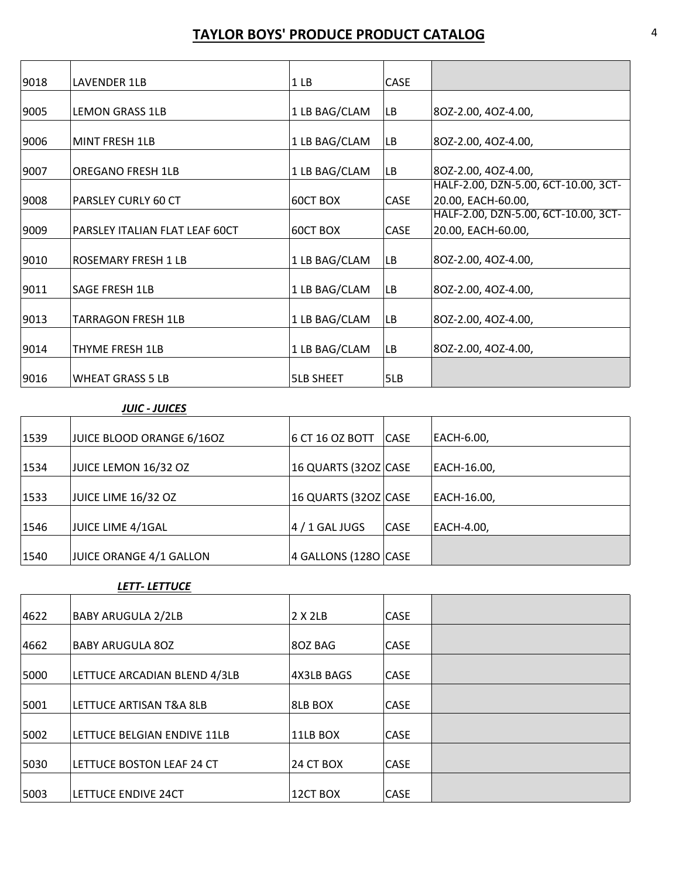| 9018 | LAVENDER 1LB                   | 1 <sub>LB</sub>  | <b>CASE</b> |                                                            |
|------|--------------------------------|------------------|-------------|------------------------------------------------------------|
| 9005 | <b>LEMON GRASS 1LB</b>         | 1 LB BAG/CLAM    | <b>LB</b>   | 80Z-2.00, 40Z-4.00,                                        |
| 9006 | MINT FRESH 1LB                 | 1 LB BAG/CLAM    | LB          | 80Z-2.00, 40Z-4.00,                                        |
| 9007 | <b>OREGANO FRESH 1LB</b>       | 1 LB BAG/CLAM    | <b>LB</b>   | 80Z-2.00, 40Z-4.00,                                        |
| 9008 | PARSLEY CURLY 60 CT            | 60CT BOX         | CASE        | HALF-2.00, DZN-5.00, 6CT-10.00, 3CT-<br>20.00, EACH-60.00, |
| 9009 | PARSLEY ITALIAN FLAT LEAF 60CT | 60CT BOX         | CASE        | HALF-2.00, DZN-5.00, 6CT-10.00, 3CT-<br>20.00, EACH-60.00, |
| 9010 | ROSEMARY FRESH 1 LB            | 1 LB BAG/CLAM    | <b>LB</b>   | 80Z-2.00, 40Z-4.00,                                        |
| 9011 | SAGE FRESH 1LB                 | 1 LB BAG/CLAM    | LB          | 80Z-2.00, 40Z-4.00,                                        |
| 9013 | TARRAGON FRESH 1LB             | 1 LB BAG/CLAM    | LB          | 80Z-2.00, 40Z-4.00,                                        |
| 9014 | THYME FRESH 1LB                | 1 LB BAG/CLAM    | LB          | 80Z-2.00, 40Z-4.00,                                        |
| 9016 | <b>WHEAT GRASS 5 LB</b>        | <b>5LB SHEET</b> | 5LB         |                                                            |

#### *JUIC ‐ JUICES*

| 1539 | JUICE BLOOD ORANGE 6/16OZ | 6 CT 16 OZ BOTT      | <b>CASE</b> | EACH-6.00,  |
|------|---------------------------|----------------------|-------------|-------------|
|      |                           |                      |             |             |
| 1534 | JUICE LEMON 16/32 OZ      | 16 QUARTS (32OZ CASE |             | EACH-16.00, |
|      |                           |                      |             |             |
| 1533 | JUICE LIME 16/32 OZ       | 16 QUARTS (32OZ CASE |             | EACH-16.00, |
|      |                           |                      |             |             |
| 1546 | JUICE LIME 4/1GAL         | $4/1$ GAL JUGS       | <b>CASE</b> | EACH-4.00,  |
|      |                           |                      |             |             |
| 1540 | JUICE ORANGE 4/1 GALLON   | 4 GALLONS (1280 CASE |             |             |

#### *LETT‐ LETTUCE*

| 4622 | <b>BABY ARUGULA 2/2LB</b>    | 2 X 2LB          | <b>CASE</b> |  |
|------|------------------------------|------------------|-------------|--|
|      |                              |                  |             |  |
| 4662 | <b>BABY ARUGULA 80Z</b>      | 80Z BAG          | <b>CASE</b> |  |
|      |                              |                  |             |  |
| 5000 | LETTUCE ARCADIAN BLEND 4/3LB | 4X3LB BAGS       | <b>CASE</b> |  |
|      |                              |                  |             |  |
| 5001 | LETTUCE ARTISAN T&A 8LB      | 8LB BOX          | <b>CASE</b> |  |
|      |                              |                  |             |  |
| 5002 | LETTUCE BELGIAN ENDIVE 11LB  | 11LB BOX         | <b>CASE</b> |  |
|      |                              |                  |             |  |
| 5030 | LETTUCE BOSTON LEAF 24 CT    | <b>24 CT BOX</b> | <b>CASE</b> |  |
|      |                              |                  |             |  |
| 5003 | LETTUCE ENDIVE 24CT          | 12CT BOX         | <b>CASE</b> |  |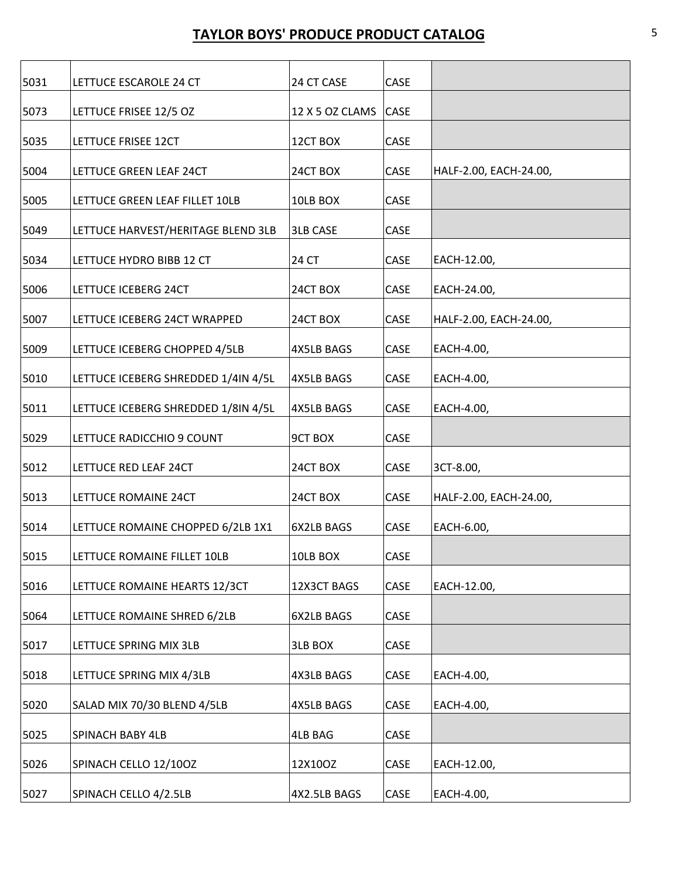| 5031 | LETTUCE ESCAROLE 24 CT              | 24 CT CASE        | CASE        |                        |
|------|-------------------------------------|-------------------|-------------|------------------------|
| 5073 | LETTUCE FRISEE 12/5 OZ              | 12 X 5 OZ CLAMS   | <b>CASE</b> |                        |
| 5035 | LETTUCE FRISEE 12CT                 | 12CT BOX          | CASE        |                        |
|      |                                     |                   |             |                        |
| 5004 | LETTUCE GREEN LEAF 24CT             | 24CT BOX          | CASE        | HALF-2.00, EACH-24.00, |
| 5005 | LETTUCE GREEN LEAF FILLET 10LB      | 10LB BOX          | CASE        |                        |
| 5049 | LETTUCE HARVEST/HERITAGE BLEND 3LB  | <b>3LB CASE</b>   | CASE        |                        |
| 5034 | LETTUCE HYDRO BIBB 12 CT            | 24 CT             | CASE        | EACH-12.00,            |
| 5006 | LETTUCE ICEBERG 24CT                | 24CT BOX          | CASE        | EACH-24.00,            |
| 5007 | LETTUCE ICEBERG 24CT WRAPPED        | 24CT BOX          | CASE        | HALF-2.00, EACH-24.00, |
| 5009 | LETTUCE ICEBERG CHOPPED 4/5LB       | <b>4X5LB BAGS</b> | CASE        | EACH-4.00,             |
| 5010 | LETTUCE ICEBERG SHREDDED 1/4IN 4/5L | <b>4X5LB BAGS</b> | CASE        | EACH-4.00,             |
| 5011 | LETTUCE ICEBERG SHREDDED 1/8IN 4/5L | <b>4X5LB BAGS</b> | CASE        | EACH-4.00,             |
| 5029 | LETTUCE RADICCHIO 9 COUNT           | <b>9CT BOX</b>    | CASE        |                        |
| 5012 | LETTUCE RED LEAF 24CT               | 24CT BOX          | CASE        | 3CT-8.00,              |
| 5013 | LETTUCE ROMAINE 24CT                | 24CT BOX          | CASE        | HALF-2.00, EACH-24.00, |
| 5014 | LETTUCE ROMAINE CHOPPED 6/2LB 1X1   | 6X2LB BAGS        | CASE        | EACH-6.00,             |
| 5015 | LETTUCE ROMAINE FILLET 10LB         | 10LB BOX          | CASE        |                        |
| 5016 | LETTUCE ROMAINE HEARTS 12/3CT       | 12X3CT BAGS       | CASE        | EACH-12.00,            |
| 5064 | LETTUCE ROMAINE SHRED 6/2LB         | 6X2LB BAGS        | CASE        |                        |
| 5017 | LETTUCE SPRING MIX 3LB              | <b>3LB BOX</b>    | CASE        |                        |
| 5018 | LETTUCE SPRING MIX 4/3LB            | 4X3LB BAGS        | CASE        | EACH-4.00,             |
| 5020 | SALAD MIX 70/30 BLEND 4/5LB         | 4X5LB BAGS        | CASE        | EACH-4.00,             |
| 5025 | SPINACH BABY 4LB                    | 4LB BAG           | CASE        |                        |
| 5026 | SPINACH CELLO 12/100Z               | 12X10OZ           | CASE        | EACH-12.00,            |
| 5027 | SPINACH CELLO 4/2.5LB               | 4X2.5LB BAGS      | CASE        | EACH-4.00,             |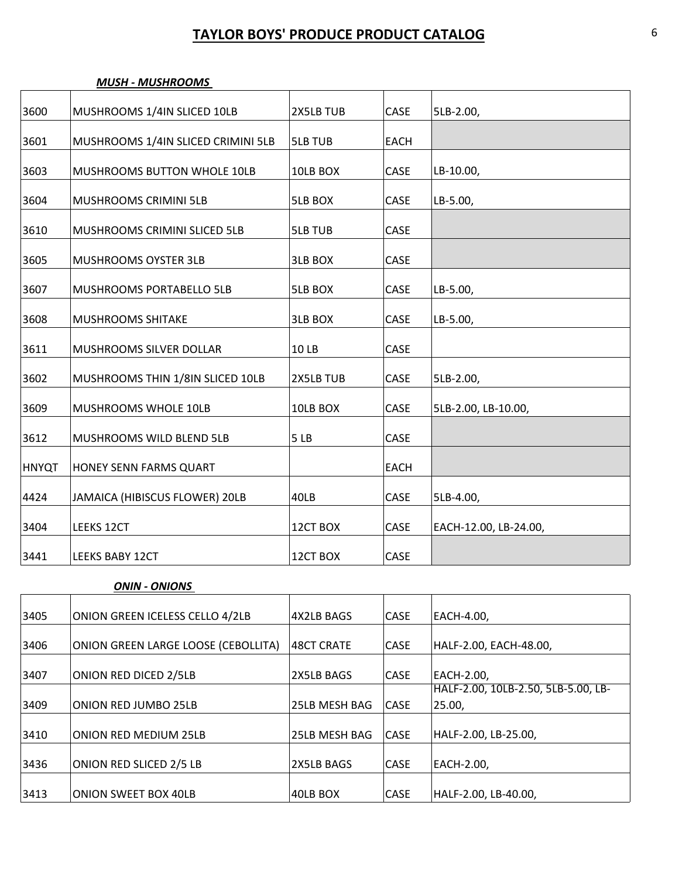| 3600         | MUSHROOMS 1/4IN SLICED 10LB        | 2X5LB TUB      | CASE        | 5LB-2.00,             |
|--------------|------------------------------------|----------------|-------------|-----------------------|
| 3601         | MUSHROOMS 1/4IN SLICED CRIMINI 5LB | <b>5LB TUB</b> | <b>EACH</b> |                       |
| 3603         | MUSHROOMS BUTTON WHOLE 10LB        | 10LB BOX       | CASE        | LB-10.00,             |
| 3604         | MUSHROOMS CRIMINI 5LB              | <b>5LB BOX</b> | CASE        | LB-5.00,              |
| 3610         | MUSHROOMS CRIMINI SLICED 5LB       | <b>5LB TUB</b> | CASE        |                       |
| 3605         | MUSHROOMS OYSTER 3LB               | <b>3LB BOX</b> | CASE        |                       |
| 3607         | MUSHROOMS PORTABELLO 5LB           | <b>5LB BOX</b> | CASE        | LB-5.00,              |
| 3608         | <b>MUSHROOMS SHITAKE</b>           | 3LB BOX        | CASE        | LB-5.00,              |
| 3611         | MUSHROOMS SILVER DOLLAR            | 10 LB          | CASE        |                       |
| 3602         | MUSHROOMS THIN 1/8IN SLICED 10LB   | 2X5LB TUB      | CASE        | 5LB-2.00,             |
| 3609         | MUSHROOMS WHOLE 10LB               | 10LB BOX       | CASE        | 5LB-2.00, LB-10.00,   |
| 3612         | MUSHROOMS WILD BLEND 5LB           | 5LB            | CASE        |                       |
| <b>HNYQT</b> | HONEY SENN FARMS QUART             |                | <b>EACH</b> |                       |
| 4424         | JAMAICA (HIBISCUS FLOWER) 20LB     | 40LB           | CASE        | 5LB-4.00,             |
| 3404         | LEEKS 12CT                         | 12CT BOX       | CASE        | EACH-12.00, LB-24.00, |
| 3441         | <b>LEEKS BABY 12CT</b>             | 12CT BOX       | CASE        |                       |

#### *MUSH ‐ MUSHROOMS*

#### *ONIN ‐ ONIONS*

| 3405 | ONION GREEN ICELESS CELLO 4/2LB     | 4X2LB BAGS    | <b>CASE</b> | EACH-4.00,                          |
|------|-------------------------------------|---------------|-------------|-------------------------------------|
|      |                                     |               |             |                                     |
| 3406 | ONION GREEN LARGE LOOSE (CEBOLLITA) | 48CT CRATE    | <b>CASE</b> | HALF-2.00, EACH-48.00,              |
|      |                                     |               |             |                                     |
| 3407 | ONION RED DICED 2/5LB               | 2X5LB BAGS    | <b>CASE</b> | EACH-2.00,                          |
|      |                                     |               |             | HALF-2.00, 10LB-2.50, 5LB-5.00, LB- |
| 3409 | <b>ONION RED JUMBO 25LB</b>         | 25LB MESH BAG | <b>CASE</b> | 25.00,                              |
|      |                                     |               |             |                                     |
| 3410 | <b>ONION RED MEDIUM 25LB</b>        | 25LB MESH BAG | <b>CASE</b> | HALF-2.00, LB-25.00,                |
|      |                                     |               |             |                                     |
| 3436 | ONION RED SLICED 2/5 LB             | 2X5LB BAGS    | <b>CASE</b> | EACH-2.00,                          |
|      |                                     |               |             |                                     |
| 3413 | <b>ONION SWEET BOX 40LB</b>         | 40LB BOX      | <b>CASE</b> | HALF-2.00, LB-40.00,                |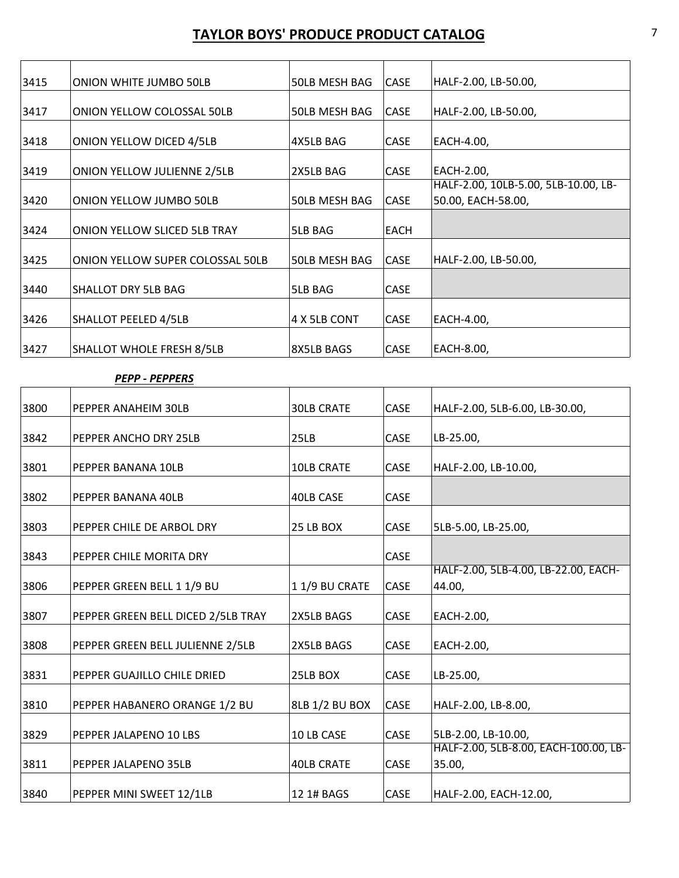| 3415 | ONION WHITE JUMBO 50LB             | 50LB MESH BAG        | <b>CASE</b> | HALF-2.00, LB-50.00,                 |
|------|------------------------------------|----------------------|-------------|--------------------------------------|
| 3417 | <b>ONION YELLOW COLOSSAL 50LB</b>  | <b>50LB MESH BAG</b> | <b>CASE</b> | HALF-2.00, LB-50.00,                 |
|      |                                    |                      |             |                                      |
| 3418 | ONION YELLOW DICED 4/5LB           | 4X5LB BAG            | <b>CASE</b> | EACH-4.00,                           |
| 3419 | <b>ONION YELLOW JULIENNE 2/5LB</b> | 2X5LB BAG            | CASE        | EACH-2.00,                           |
|      |                                    |                      |             | HALF-2.00, 10LB-5.00, 5LB-10.00, LB- |
| 3420 | ONION YELLOW JUMBO 50LB            | 50LB MESH BAG        | <b>CASE</b> | 50.00, EACH-58.00,                   |
|      |                                    |                      |             |                                      |
| 3424 | ONION YELLOW SLICED 5LB TRAY       | 5LB BAG              | <b>EACH</b> |                                      |
| 3425 | ONION YELLOW SUPER COLOSSAL 50LB   | 50LB MESH BAG        | <b>CASE</b> | HALF-2.00, LB-50.00,                 |
| 3440 | SHALLOT DRY 5LB BAG                | <b>5LB BAG</b>       | CASE        |                                      |
| 3426 | <b>SHALLOT PEELED 4/5LB</b>        | 4 X 5LB CONT         | CASE        | EACH-4.00,                           |
| 3427 | SHALLOT WHOLE FRESH 8/5LB          | 8X5LB BAGS           | <b>CASE</b> | EACH-8.00,                           |

#### *PEPP ‐ PEPPERS*

| 3800 | PEPPER ANAHEIM 30LB                | <b>30LB CRATE</b> | CASE        | HALF-2.00, 5LB-6.00, LB-30.00,        |
|------|------------------------------------|-------------------|-------------|---------------------------------------|
| 3842 | PEPPER ANCHO DRY 25LB              | 25LB              | <b>CASE</b> | LB-25.00,                             |
| 3801 | PEPPER BANANA 10LB                 | <b>10LB CRATE</b> | <b>CASE</b> | HALF-2.00, LB-10.00,                  |
| 3802 | PEPPER BANANA 40LB                 | 40LB CASE         | CASE        |                                       |
| 3803 | PEPPER CHILE DE ARBOL DRY          | 25 LB BOX         | CASE        | 5LB-5.00, LB-25.00,                   |
| 3843 | PEPPER CHILE MORITA DRY            |                   | CASE        |                                       |
|      |                                    |                   |             | HALF-2.00, 5LB-4.00, LB-22.00, EACH-  |
| 3806 | PEPPER GREEN BELL 1 1/9 BU         | 11/9 BU CRATE     | CASE        | 44.00,                                |
| 3807 | PEPPER GREEN BELL DICED 2/5LB TRAY | 2X5LB BAGS        | <b>CASE</b> | EACH-2.00,                            |
| 3808 | PEPPER GREEN BELL JULIENNE 2/5LB   | 2X5LB BAGS        | CASE        | EACH-2.00,                            |
| 3831 | PEPPER GUAJILLO CHILE DRIED        | 25LB BOX          | CASE        | LB-25.00,                             |
| 3810 | PEPPER HABANERO ORANGE 1/2 BU      | 8LB 1/2 BU BOX    | <b>CASE</b> | HALF-2.00, LB-8.00,                   |
|      |                                    |                   |             |                                       |
| 3829 | PEPPER JALAPENO 10 LBS             | 10 LB CASE        | CASE        | 5LB-2.00, LB-10.00,                   |
|      |                                    |                   |             | HALF-2.00, 5LB-8.00, EACH-100.00, LB- |
| 3811 | PEPPER JALAPENO 35LB               | <b>40LB CRATE</b> | CASE        | 35.00,                                |
| 3840 | PEPPER MINI SWEET 12/1LB           | 12 1# BAGS        | CASE        | HALF-2.00, EACH-12.00,                |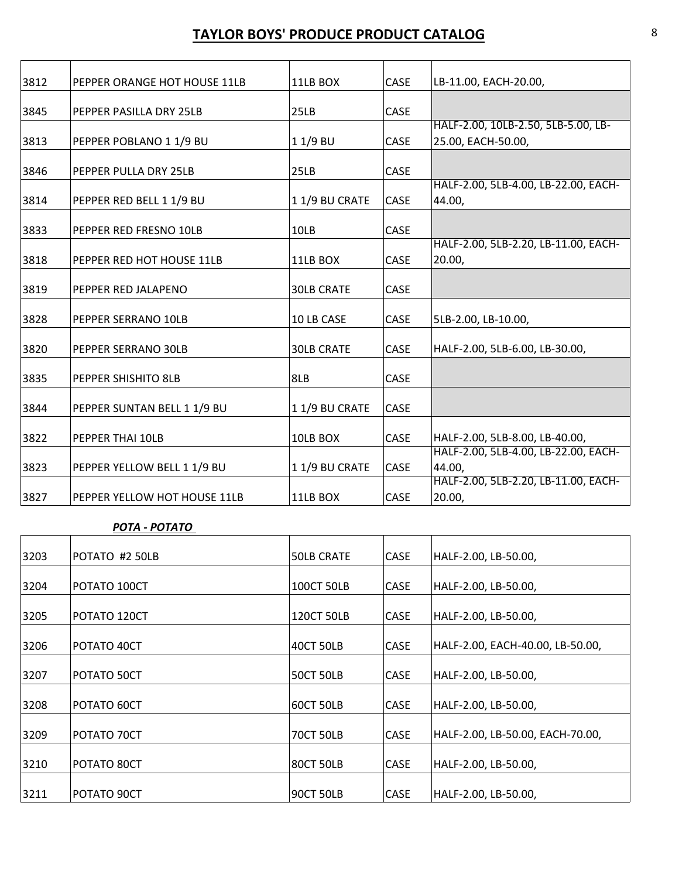| 3812 | PEPPER ORANGE HOT HOUSE 11LB | 11LB BOX          | <b>CASE</b> | LB-11.00, EACH-20.00,                |
|------|------------------------------|-------------------|-------------|--------------------------------------|
| 3845 | PEPPER PASILLA DRY 25LB      | 25LB              | CASE        |                                      |
|      |                              |                   |             | HALF-2.00, 10LB-2.50, 5LB-5.00, LB-  |
| 3813 | PEPPER POBLANO 1 1/9 BU      | 11/9 BU           | <b>CASE</b> | 25.00, EACH-50.00,                   |
|      |                              |                   |             |                                      |
| 3846 | PEPPER PULLA DRY 25LB        | 25LB              | <b>CASE</b> |                                      |
|      |                              |                   |             | HALF-2.00, 5LB-4.00, LB-22.00, EACH- |
| 3814 | PEPPER RED BELL 1 1/9 BU     | 11/9 BU CRATE     | CASE        | 44.00,                               |
|      |                              |                   |             |                                      |
| 3833 | PEPPER RED FRESNO 10LB       | 10LB              | <b>CASE</b> | HALF-2.00, 5LB-2.20, LB-11.00, EACH- |
| 3818 | PEPPER RED HOT HOUSE 11LB    | 11LB BOX          | CASE        | 20.00,                               |
|      |                              |                   |             |                                      |
| 3819 | PEPPER RED JALAPENO          | <b>30LB CRATE</b> | <b>CASE</b> |                                      |
|      |                              |                   |             |                                      |
| 3828 | PEPPER SERRANO 10LB          | 10 LB CASE        | <b>CASE</b> | 5LB-2.00, LB-10.00,                  |
| 3820 | PEPPER SERRANO 30LB          | <b>30LB CRATE</b> | <b>CASE</b> | HALF-2.00, 5LB-6.00, LB-30.00,       |
|      |                              |                   |             |                                      |
| 3835 | PEPPER SHISHITO 8LB          | 8LB               | <b>CASE</b> |                                      |
| 3844 | PEPPER SUNTAN BELL 1 1/9 BU  | 11/9 BU CRATE     | <b>CASE</b> |                                      |
|      |                              |                   |             |                                      |
| 3822 | PEPPER THAI 10LB             | 10LB BOX          | CASE        | HALF-2.00, 5LB-8.00, LB-40.00,       |
|      |                              |                   |             | HALF-2.00, 5LB-4.00, LB-22.00, EACH- |
| 3823 | PEPPER YELLOW BELL 1 1/9 BU  | 11/9 BU CRATE     | CASE        | 44.00,                               |
|      |                              |                   |             | HALF-2.00, 5LB-2.20, LB-11.00, EACH- |
| 3827 | PEPPER YELLOW HOT HOUSE 11LB | 11LB BOX          | CASE        | 20.00,                               |

*POTA ‐ POTATO*

| POTATO #2 50LB | <b>50LB CRATE</b>          | <b>CASE</b>                          | HALF-2.00, LB-50.00,             |
|----------------|----------------------------|--------------------------------------|----------------------------------|
| POTATO 100CT   | <b>100CT 50LB</b>          | <b>CASE</b>                          | HALF-2.00, LB-50.00,             |
| POTATO 120CT   | <b>120CT 50LB</b>          | <b>CASE</b>                          | HALF-2.00, LB-50.00,             |
| POTATO 40CT    | 40CT 50LB                  | <b>CASE</b>                          | HALF-2.00, EACH-40.00, LB-50.00, |
| POTATO 50CT    | <b>50CT 50LB</b>           | CASE                                 | HALF-2.00, LB-50.00,             |
| POTATO 60CT    | <b>60CT 50LB</b>           | <b>CASE</b>                          | HALF-2.00, LB-50.00,             |
|                |                            |                                      | HALF-2.00, LB-50.00, EACH-70.00, |
|                |                            |                                      | HALF-2.00, LB-50.00,             |
| POTATO 90CT    | <b>90CT 50LB</b>           | <b>CASE</b>                          | HALF-2.00, LB-50.00,             |
|                | POTATO 70CT<br>POTATO 80CT | <b>70CT 50LB</b><br><b>80CT 50LB</b> | CASE<br>CASE                     |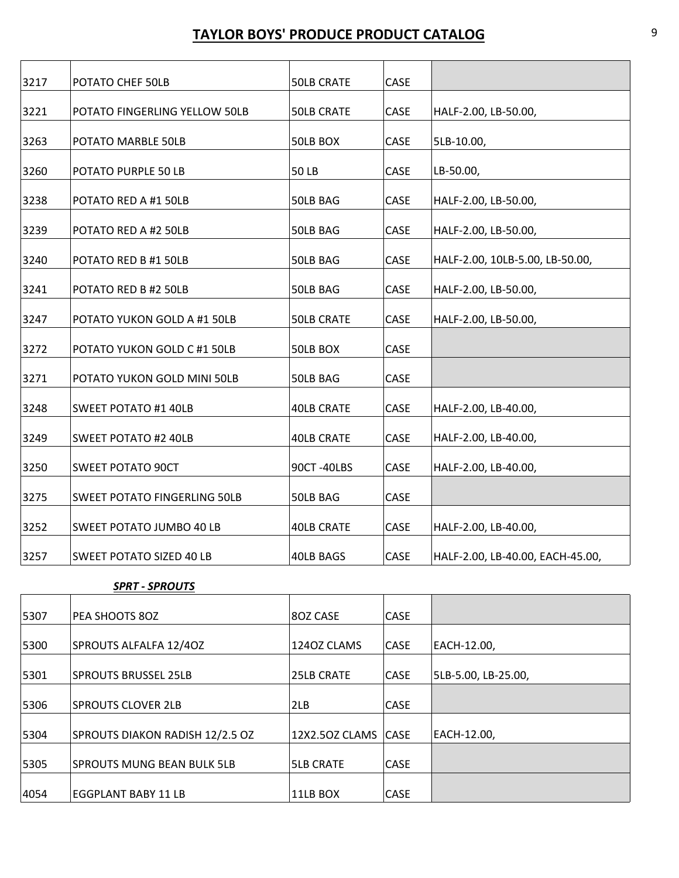| 3217 | POTATO CHEF 50LB                    | <b>50LB CRATE</b> | CASE |                                  |
|------|-------------------------------------|-------------------|------|----------------------------------|
| 3221 | POTATO FINGERLING YELLOW 50LB       | <b>50LB CRATE</b> | CASE | HALF-2.00, LB-50.00,             |
| 3263 | POTATO MARBLE 50LB                  | 50LB BOX          | CASE | 5LB-10.00,                       |
| 3260 | POTATO PURPLE 50 LB                 | 50 LB             | CASE | LB-50.00,                        |
| 3238 | POTATO RED A #1 50LB                | 50LB BAG          | CASE | HALF-2.00, LB-50.00,             |
| 3239 | POTATO RED A #2 50LB                | 50LB BAG          | CASE | HALF-2.00, LB-50.00,             |
| 3240 | POTATO RED B #1 50LB                | 50LB BAG          | CASE | HALF-2.00, 10LB-5.00, LB-50.00,  |
| 3241 | POTATO RED B #2 50LB                | 50LB BAG          | CASE | HALF-2.00, LB-50.00,             |
| 3247 | POTATO YUKON GOLD A #1 50LB         | <b>50LB CRATE</b> | CASE | HALF-2.00, LB-50.00,             |
| 3272 | POTATO YUKON GOLD C #1 50LB         | 50LB BOX          | CASE |                                  |
| 3271 | POTATO YUKON GOLD MINI 50LB         | 50LB BAG          | CASE |                                  |
| 3248 | <b>SWEET POTATO #1 40LB</b>         | <b>40LB CRATE</b> | CASE | HALF-2.00, LB-40.00,             |
| 3249 | SWEET POTATO #2 40LB                | <b>40LB CRATE</b> | CASE | HALF-2.00, LB-40.00,             |
| 3250 | <b>SWEET POTATO 90CT</b>            | 90CT-40LBS        | CASE | HALF-2.00, LB-40.00,             |
| 3275 | <b>SWEET POTATO FINGERLING 50LB</b> | 50LB BAG          | CASE |                                  |
| 3252 | SWEET POTATO JUMBO 40 LB            | <b>40LB CRATE</b> | CASE | HALF-2.00, LB-40.00,             |
| 3257 | <b>SWEET POTATO SIZED 40 LB</b>     | 40LB BAGS         | CASE | HALF-2.00, LB-40.00, EACH-45.00, |

#### *SPRT ‐ SPROUTS*

| 5307 | PEA SHOOTS 80Z                  | 80Z CASE          | <b>CASE</b> |                     |
|------|---------------------------------|-------------------|-------------|---------------------|
| 5300 | SPROUTS ALFALFA 12/40Z          | 1240Z CLAMS       | <b>CASE</b> | EACH-12.00,         |
| 5301 | <b>SPROUTS BRUSSEL 25LB</b>     | <b>25LB CRATE</b> | <b>CASE</b> | 5LB-5.00, LB-25.00, |
| 5306 | <b>SPROUTS CLOVER 2LB</b>       | 2LB               | <b>CASE</b> |                     |
| 5304 | SPROUTS DIAKON RADISH 12/2.5 OZ | 12X2.5OZ CLAMS    | <b>CASE</b> | EACH-12.00,         |
| 5305 | SPROUTS MUNG BEAN BULK 5LB      | <b>5LB CRATE</b>  | <b>CASE</b> |                     |
| 4054 | EGGPLANT BABY 11 LB             | 11LB BOX          | CASE        |                     |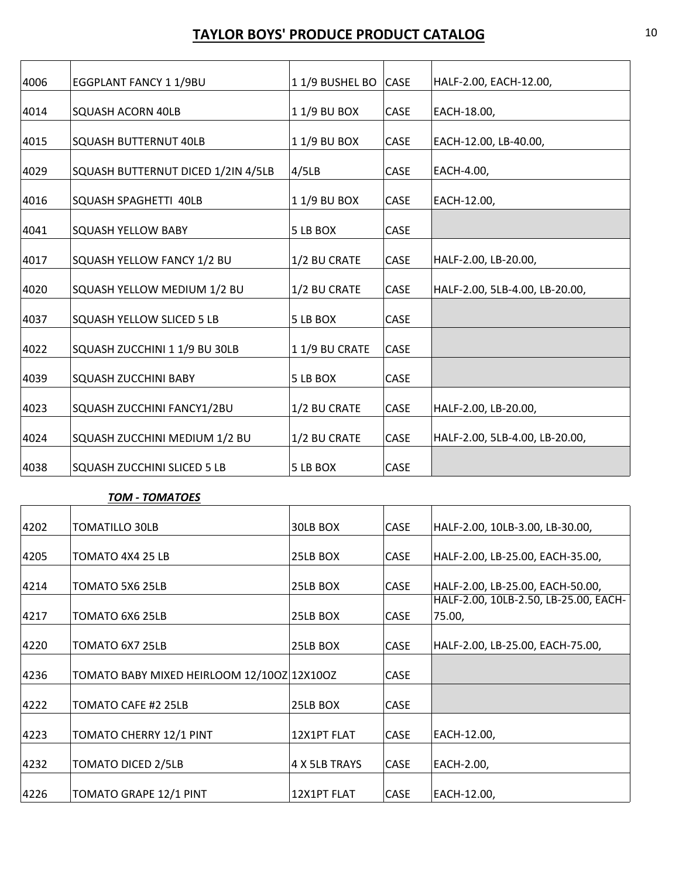| 4006 | EGGPLANT FANCY 1 1/9BU             | 11/9 BUSHEL BO | <b>CASE</b> | HALF-2.00, EACH-12.00,         |
|------|------------------------------------|----------------|-------------|--------------------------------|
| 4014 | <b>SQUASH ACORN 40LB</b>           | 11/9 BU BOX    | CASE        | EACH-18.00,                    |
| 4015 | <b>SQUASH BUTTERNUT 40LB</b>       | 1 1/9 BU BOX   | <b>CASE</b> | EACH-12.00, LB-40.00,          |
| 4029 | SQUASH BUTTERNUT DICED 1/2IN 4/5LB | 4/5LB          | CASE        | EACH-4.00,                     |
| 4016 | SQUASH SPAGHETTI 40LB              | 11/9 BU BOX    | CASE        | EACH-12.00,                    |
| 4041 | <b>SQUASH YELLOW BABY</b>          | 5 LB BOX       | CASE        |                                |
| 4017 | SQUASH YELLOW FANCY 1/2 BU         | 1/2 BU CRATE   | CASE        | HALF-2.00, LB-20.00,           |
| 4020 | SQUASH YELLOW MEDIUM 1/2 BU        | 1/2 BU CRATE   | CASE        | HALF-2.00, 5LB-4.00, LB-20.00, |
| 4037 | SQUASH YELLOW SLICED 5 LB          | 5 LB BOX       | CASE        |                                |
| 4022 | SQUASH ZUCCHINI 1 1/9 BU 30LB      | 11/9 BU CRATE  | CASE        |                                |
| 4039 | <b>SQUASH ZUCCHINI BABY</b>        | 5 LB BOX       | CASE        |                                |
| 4023 | SQUASH ZUCCHINI FANCY1/2BU         | 1/2 BU CRATE   | CASE        | HALF-2.00, LB-20.00,           |
| 4024 | SQUASH ZUCCHINI MEDIUM 1/2 BU      | 1/2 BU CRATE   | CASE        | HALF-2.00, 5LB-4.00, LB-20.00, |
| 4038 | SQUASH ZUCCHINI SLICED 5 LB        | 5 LB BOX       | CASE        |                                |

#### *TOM ‐ TOMATOES*

| 4202 | TOMATILLO 30LB                             | 30LB BOX      | CASE        | HALF-2.00, 10LB-3.00, LB-30.00,       |
|------|--------------------------------------------|---------------|-------------|---------------------------------------|
|      |                                            |               |             |                                       |
| 4205 | TOMATO 4X4 25 LB                           | 25LB BOX      | <b>CASE</b> | HALF-2.00, LB-25.00, EACH-35.00,      |
|      |                                            |               |             |                                       |
| 4214 | TOMATO 5X6 25LB                            | 25LB BOX      | <b>CASE</b> | HALF-2.00, LB-25.00, EACH-50.00,      |
|      |                                            |               |             | HALF-2.00, 10LB-2.50, LB-25.00, EACH- |
| 4217 | TOMATO 6X6 25LB                            | 25LB BOX      | <b>CASE</b> | 75.00,                                |
|      |                                            |               |             |                                       |
| 4220 | TOMATO 6X7 25LB                            | 25LB BOX      | <b>CASE</b> | HALF-2.00, LB-25.00, EACH-75.00,      |
|      |                                            |               |             |                                       |
| 4236 | TOMATO BABY MIXED HEIRLOOM 12/100Z 12X100Z |               | <b>CASE</b> |                                       |
|      |                                            |               |             |                                       |
| 4222 | TOMATO CAFE #2 25LB                        | 25LB BOX      | <b>CASE</b> |                                       |
|      |                                            |               |             |                                       |
| 4223 | TOMATO CHERRY 12/1 PINT                    | 12X1PT FLAT   | CASE        | EACH-12.00,                           |
|      |                                            |               |             |                                       |
| 4232 | <b>TOMATO DICED 2/5LB</b>                  | 4 X 5LB TRAYS | <b>CASE</b> | EACH-2.00,                            |
|      |                                            |               |             |                                       |
| 4226 | TOMATO GRAPE 12/1 PINT                     | 12X1PT FLAT   | CASE        | EACH-12.00,                           |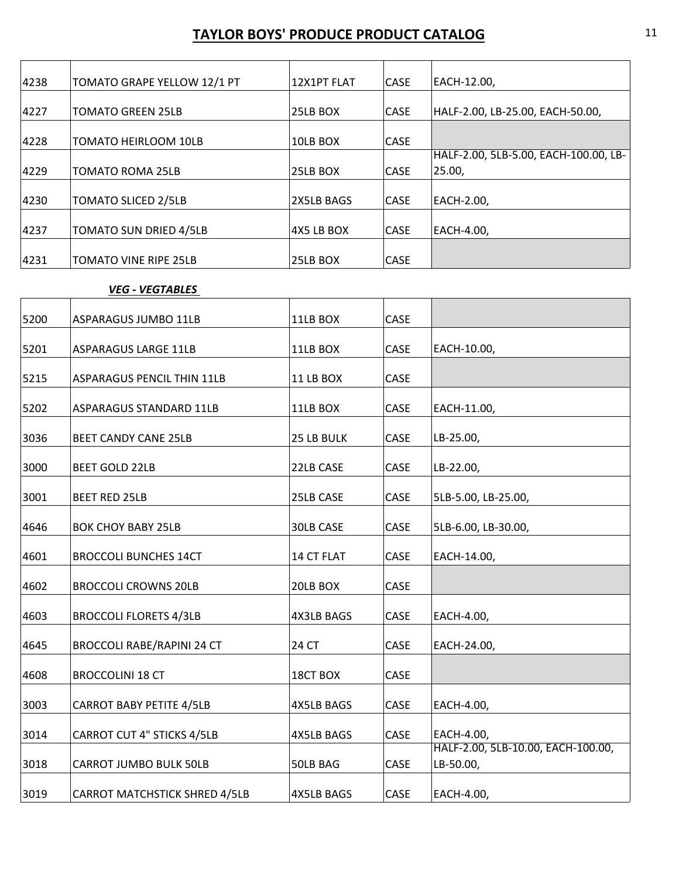| 4238 | TOMATO GRAPE YELLOW 12/1 PT   | 12X1PT FLAT | <b>CASE</b> | EACH-12.00,                                     |
|------|-------------------------------|-------------|-------------|-------------------------------------------------|
| 4227 | <b>TOMATO GREEN 25LB</b>      | 25LB BOX    | <b>CASE</b> | HALF-2.00, LB-25.00, EACH-50.00,                |
| 4228 | <b>TOMATO HEIRLOOM 10LB</b>   | 10LB BOX    | <b>CASE</b> |                                                 |
| 4229 | <b>TOMATO ROMA 25LB</b>       | 25LB BOX    | <b>CASE</b> | HALF-2.00, 5LB-5.00, EACH-100.00, LB-<br>25.00, |
| 4230 | <b>TOMATO SLICED 2/5LB</b>    | 2X5LB BAGS  | <b>CASE</b> | EACH-2.00,                                      |
| 4237 | <b>TOMATO SUN DRIED 4/5LB</b> | 4X5 LB BOX  | <b>CASE</b> | EACH-4.00,                                      |
| 4231 | <b>TOMATO VINE RIPE 25LB</b>  | 25LB BOX    | <b>CASE</b> |                                                 |

#### *VEG ‐ VEGTABLES*

| 5200 | ASPARAGUS JUMBO 11LB              | 11LB BOX          | CASE |                                                 |
|------|-----------------------------------|-------------------|------|-------------------------------------------------|
| 5201 | <b>ASPARAGUS LARGE 11LB</b>       | 11LB BOX          | CASE | EACH-10.00,                                     |
| 5215 | <b>ASPARAGUS PENCIL THIN 11LB</b> | 11 LB BOX         | CASE |                                                 |
| 5202 | ASPARAGUS STANDARD 11LB           | 11LB BOX          | CASE | EACH-11.00,                                     |
| 3036 | <b>BEET CANDY CANE 25LB</b>       | 25 LB BULK        | CASE | LB-25.00,                                       |
| 3000 | <b>BEET GOLD 22LB</b>             | 22LB CASE         | CASE | LB-22.00,                                       |
| 3001 | <b>BEET RED 25LB</b>              | 25LB CASE         | CASE | 5LB-5.00, LB-25.00,                             |
| 4646 | <b>BOK CHOY BABY 25LB</b>         | <b>30LB CASE</b>  | CASE | 5LB-6.00, LB-30.00,                             |
| 4601 | <b>BROCCOLI BUNCHES 14CT</b>      | 14 CT FLAT        | CASE | EACH-14.00,                                     |
| 4602 | <b>BROCCOLI CROWNS 20LB</b>       | 20LB BOX          | CASE |                                                 |
| 4603 | <b>BROCCOLI FLORETS 4/3LB</b>     | <b>4X3LB BAGS</b> | CASE | EACH-4.00,                                      |
| 4645 | <b>BROCCOLI RABE/RAPINI 24 CT</b> | 24 CT             | CASE | EACH-24.00,                                     |
| 4608 | <b>BROCCOLINI 18 CT</b>           | 18CT BOX          | CASE |                                                 |
| 3003 | <b>CARROT BABY PETITE 4/5LB</b>   | <b>4X5LB BAGS</b> | CASE | EACH-4.00,                                      |
| 3014 | <b>CARROT CUT 4" STICKS 4/5LB</b> | <b>4X5LB BAGS</b> | CASE | EACH-4.00,                                      |
| 3018 | CARROT JUMBO BULK 50LB            | 50LB BAG          | CASE | HALF-2.00, 5LB-10.00, EACH-100.00,<br>LB-50.00, |
| 3019 | CARROT MATCHSTICK SHRED 4/5LB     | <b>4X5LB BAGS</b> | CASE | EACH-4.00,                                      |
|      |                                   |                   |      |                                                 |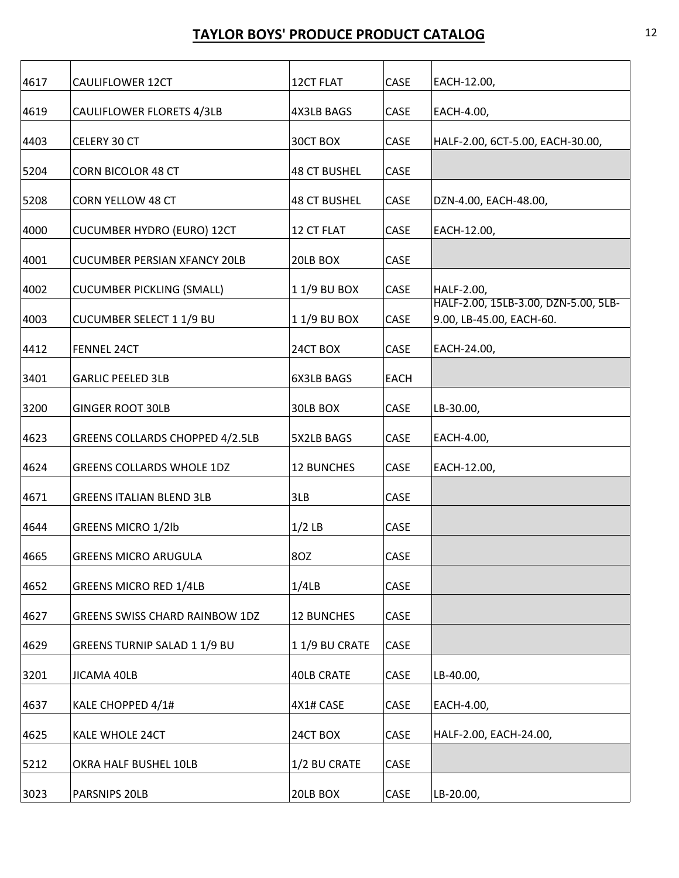| 4617 | CAULIFLOWER 12CT                       | 12CT FLAT           | CASE        | EACH-12.00,                                                      |
|------|----------------------------------------|---------------------|-------------|------------------------------------------------------------------|
| 4619 | CAULIFLOWER FLORETS 4/3LB              | <b>4X3LB BAGS</b>   | CASE        | EACH-4.00,                                                       |
| 4403 | CELERY 30 CT                           | 30CT BOX            | CASE        | HALF-2.00, 6CT-5.00, EACH-30.00,                                 |
| 5204 | <b>CORN BICOLOR 48 CT</b>              | <b>48 CT BUSHEL</b> | CASE        |                                                                  |
| 5208 | CORN YELLOW 48 CT                      | <b>48 CT BUSHEL</b> | CASE        | DZN-4.00, EACH-48.00,                                            |
| 4000 | <b>CUCUMBER HYDRO (EURO) 12CT</b>      | 12 CT FLAT          | CASE        | EACH-12.00,                                                      |
| 4001 | <b>CUCUMBER PERSIAN XFANCY 20LB</b>    | 20LB BOX            | CASE        |                                                                  |
| 4002 | <b>CUCUMBER PICKLING (SMALL)</b>       | 11/9 BU BOX         | CASE        | HALF-2.00,                                                       |
| 4003 | <b>CUCUMBER SELECT 1 1/9 BU</b>        | 11/9 BU BOX         | CASE        | HALF-2.00, 15LB-3.00, DZN-5.00, 5LB-<br>9.00, LB-45.00, EACH-60. |
| 4412 | <b>FENNEL 24CT</b>                     | 24CT BOX            | CASE        | EACH-24.00,                                                      |
| 3401 | <b>GARLIC PEELED 3LB</b>               | 6X3LB BAGS          | <b>EACH</b> |                                                                  |
| 3200 | <b>GINGER ROOT 30LB</b>                | 30LB BOX            | CASE        | LB-30.00,                                                        |
| 4623 | <b>GREENS COLLARDS CHOPPED 4/2.5LB</b> | 5X2LB BAGS          | CASE        | EACH-4.00,                                                       |
| 4624 | <b>GREENS COLLARDS WHOLE 1DZ</b>       | <b>12 BUNCHES</b>   | CASE        | EACH-12.00,                                                      |
| 4671 | <b>GREENS ITALIAN BLEND 3LB</b>        | 3LB                 | CASE        |                                                                  |
| 4644 | <b>GREENS MICRO 1/2lb</b>              | $1/2$ LB            | CASE        |                                                                  |
| 4665 | <b>GREENS MICRO ARUGULA</b>            | 8OZ                 | CASE        |                                                                  |
| 4652 | <b>GREENS MICRO RED 1/4LB</b>          | 1/4LB               | CASE        |                                                                  |
| 4627 | GREENS SWISS CHARD RAINBOW 1DZ         | <b>12 BUNCHES</b>   | CASE        |                                                                  |
| 4629 | GREENS TURNIP SALAD 1 1/9 BU           | 11/9 BU CRATE       | CASE        |                                                                  |
| 3201 | JICAMA 40LB                            | <b>40LB CRATE</b>   | CASE        | LB-40.00,                                                        |
| 4637 | KALE CHOPPED 4/1#                      | 4X1# CASE           | CASE        | EACH-4.00,                                                       |
| 4625 | KALE WHOLE 24CT                        | 24CT BOX            | CASE        | HALF-2.00, EACH-24.00,                                           |
| 5212 | OKRA HALF BUSHEL 10LB                  | 1/2 BU CRATE        | CASE        |                                                                  |
| 3023 | PARSNIPS 20LB                          | 20LB BOX            | CASE        | LB-20.00,                                                        |